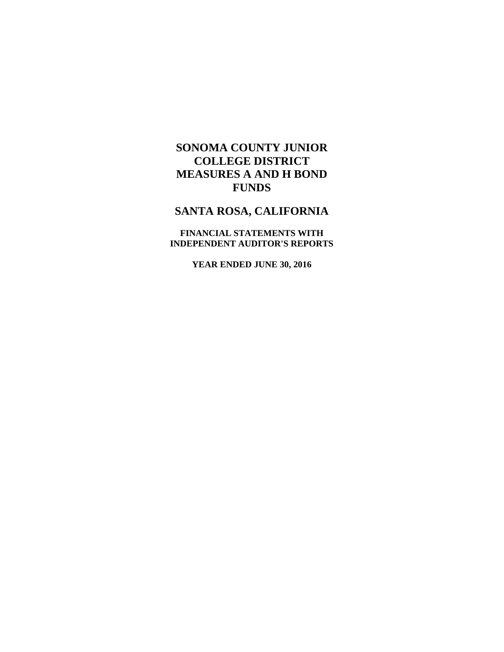# **SANTA ROSA, CALIFORNIA**

**FINANCIAL STATEMENTS WITH INDEPENDENT AUDITOR'S REPORTS** 

**YEAR ENDED JUNE 30, 2016**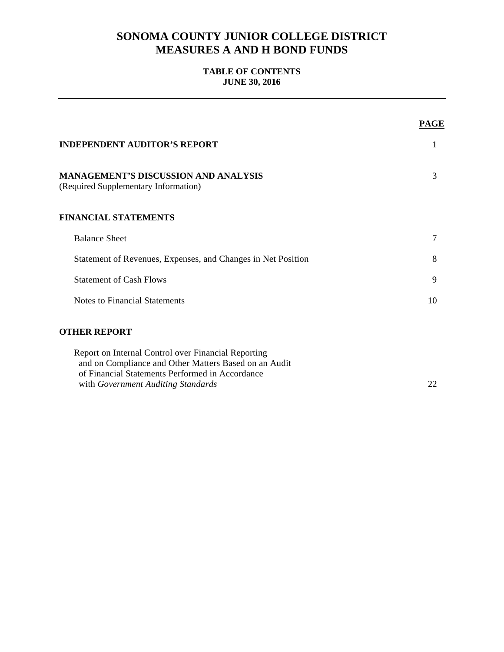# **TABLE OF CONTENTS JUNE 30, 2016**

|                                                                                                              | <b>PAGE</b> |
|--------------------------------------------------------------------------------------------------------------|-------------|
| <b>INDEPENDENT AUDITOR'S REPORT</b>                                                                          | 1           |
| <b>MANAGEMENT'S DISCUSSION AND ANALYSIS</b><br>(Required Supplementary Information)                          | 3           |
| <b>FINANCIAL STATEMENTS</b>                                                                                  |             |
| <b>Balance Sheet</b>                                                                                         | 7           |
| Statement of Revenues, Expenses, and Changes in Net Position                                                 | 8           |
| <b>Statement of Cash Flows</b>                                                                               | 9           |
| <b>Notes to Financial Statements</b>                                                                         | 10          |
| <b>OTHER REPORT</b>                                                                                          |             |
| Report on Internal Control over Financial Reporting<br>and on Compliance and Other Matters Based on an Audit |             |
| of Financial Statements Performed in Accordance                                                              |             |
| with Government Auditing Standards                                                                           | 22          |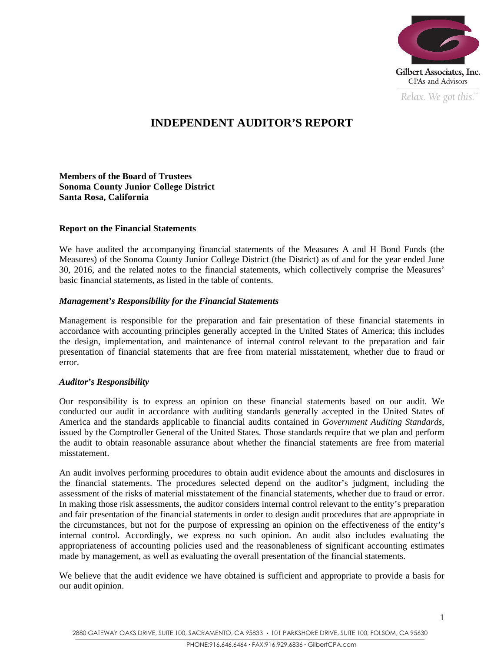

*Relax. We got this.*  $\alpha$ 

# **INDEPENDENT AUDITOR'S REPORT**

**Members of the Board of Trustees Sonoma County Junior College District Santa Rosa, California** 

### **Report on the Financial Statements**

We have audited the accompanying financial statements of the Measures A and H Bond Funds (the Measures) of the Sonoma County Junior College District (the District) as of and for the year ended June 30, 2016, and the related notes to the financial statements, which collectively comprise the Measures' basic financial statements, as listed in the table of contents.

### *Management's Responsibility for the Financial Statements*

Management is responsible for the preparation and fair presentation of these financial statements in accordance with accounting principles generally accepted in the United States of America; this includes the design, implementation, and maintenance of internal control relevant to the preparation and fair presentation of financial statements that are free from material misstatement, whether due to fraud or error.

#### *Auditor's Responsibility*

Our responsibility is to express an opinion on these financial statements based on our audit. We conducted our audit in accordance with auditing standards generally accepted in the United States of America and the standards applicable to financial audits contained in *Government Auditing Standards*, issued by the Comptroller General of the United States. Those standards require that we plan and perform the audit to obtain reasonable assurance about whether the financial statements are free from material misstatement.

An audit involves performing procedures to obtain audit evidence about the amounts and disclosures in the financial statements. The procedures selected depend on the auditor's judgment, including the assessment of the risks of material misstatement of the financial statements, whether due to fraud or error. In making those risk assessments, the auditor considers internal control relevant to the entity's preparation and fair presentation of the financial statements in order to design audit procedures that are appropriate in the circumstances, but not for the purpose of expressing an opinion on the effectiveness of the entity's internal control. Accordingly, we express no such opinion. An audit also includes evaluating the appropriateness of accounting policies used and the reasonableness of significant accounting estimates made by management, as well as evaluating the overall presentation of the financial statements.

We believe that the audit evidence we have obtained is sufficient and appropriate to provide a basis for our audit opinion.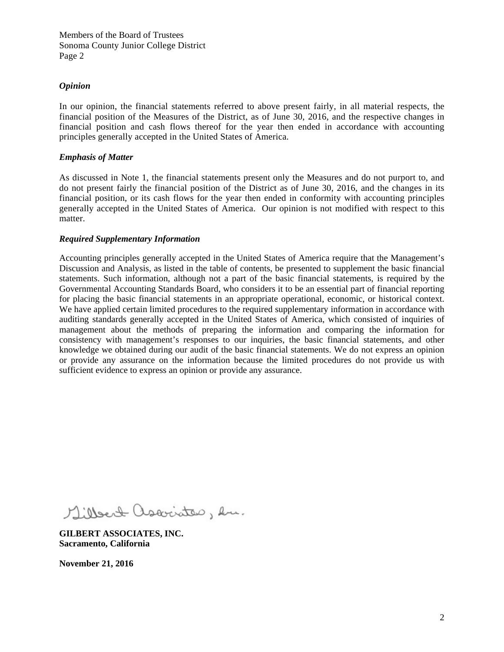## *Opinion*

In our opinion, the financial statements referred to above present fairly, in all material respects, the financial position of the Measures of the District, as of June 30, 2016, and the respective changes in financial position and cash flows thereof for the year then ended in accordance with accounting principles generally accepted in the United States of America.

### *Emphasis of Matter*

As discussed in Note 1, the financial statements present only the Measures and do not purport to, and do not present fairly the financial position of the District as of June 30, 2016, and the changes in its financial position, or its cash flows for the year then ended in conformity with accounting principles generally accepted in the United States of America. Our opinion is not modified with respect to this matter.

### *Required Supplementary Information*

Accounting principles generally accepted in the United States of America require that the Management's Discussion and Analysis, as listed in the table of contents, be presented to supplement the basic financial statements. Such information, although not a part of the basic financial statements, is required by the Governmental Accounting Standards Board, who considers it to be an essential part of financial reporting for placing the basic financial statements in an appropriate operational, economic, or historical context. We have applied certain limited procedures to the required supplementary information in accordance with auditing standards generally accepted in the United States of America, which consisted of inquiries of management about the methods of preparing the information and comparing the information for consistency with management's responses to our inquiries, the basic financial statements, and other knowledge we obtained during our audit of the basic financial statements. We do not express an opinion or provide any assurance on the information because the limited procedures do not provide us with sufficient evidence to express an opinion or provide any assurance.

Gilbert associates, en.

**GILBERT ASSOCIATES, INC. Sacramento, California** 

**November 21, 2016**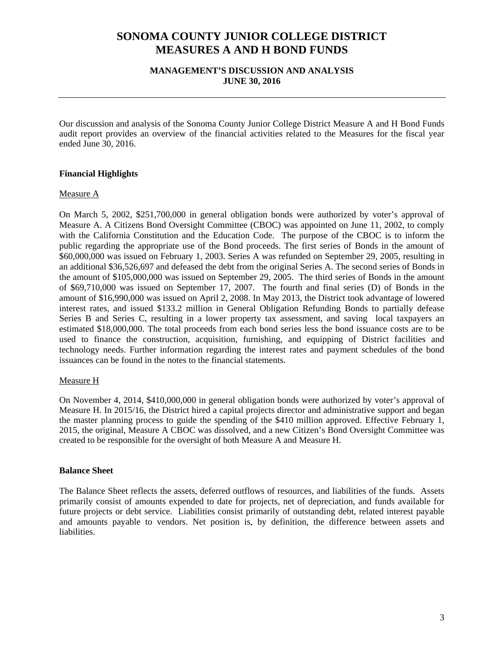# **MANAGEMENT'S DISCUSSION AND ANALYSIS JUNE 30, 2016**

Our discussion and analysis of the Sonoma County Junior College District Measure A and H Bond Funds audit report provides an overview of the financial activities related to the Measures for the fiscal year ended June 30, 2016.

# **Financial Highlights**

#### Measure A

On March 5, 2002, \$251,700,000 in general obligation bonds were authorized by voter's approval of Measure A. A Citizens Bond Oversight Committee (CBOC) was appointed on June 11, 2002, to comply with the California Constitution and the Education Code. The purpose of the CBOC is to inform the public regarding the appropriate use of the Bond proceeds. The first series of Bonds in the amount of \$60,000,000 was issued on February 1, 2003. Series A was refunded on September 29, 2005, resulting in an additional \$36,526,697 and defeased the debt from the original Series A. The second series of Bonds in the amount of \$105,000,000 was issued on September 29, 2005. The third series of Bonds in the amount of \$69,710,000 was issued on September 17, 2007. The fourth and final series (D) of Bonds in the amount of \$16,990,000 was issued on April 2, 2008. In May 2013, the District took advantage of lowered interest rates, and issued \$133.2 million in General Obligation Refunding Bonds to partially defease Series B and Series C, resulting in a lower property tax assessment, and saving local taxpayers an estimated \$18,000,000. The total proceeds from each bond series less the bond issuance costs are to be used to finance the construction, acquisition, furnishing, and equipping of District facilities and technology needs. Further information regarding the interest rates and payment schedules of the bond issuances can be found in the notes to the financial statements.

#### Measure H

On November 4, 2014, \$410,000,000 in general obligation bonds were authorized by voter's approval of Measure H. In 2015/16, the District hired a capital projects director and administrative support and began the master planning process to guide the spending of the \$410 million approved. Effective February 1, 2015, the original, Measure A CBOC was dissolved, and a new Citizen's Bond Oversight Committee was created to be responsible for the oversight of both Measure A and Measure H.

#### **Balance Sheet**

The Balance Sheet reflects the assets, deferred outflows of resources, and liabilities of the funds. Assets primarily consist of amounts expended to date for projects, net of depreciation, and funds available for future projects or debt service. Liabilities consist primarily of outstanding debt, related interest payable and amounts payable to vendors. Net position is, by definition, the difference between assets and liabilities.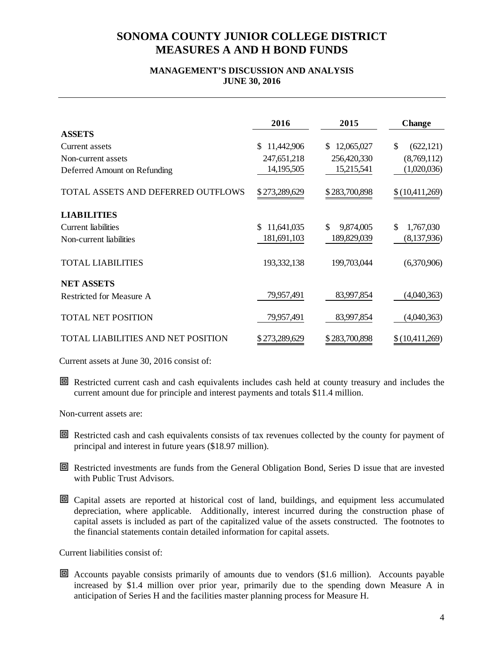# **MANAGEMENT'S DISCUSSION AND ANALYSIS JUNE 30, 2016**

|                                    | 2016              | 2015             | <b>Change</b>    |
|------------------------------------|-------------------|------------------|------------------|
| <b>ASSETS</b>                      |                   |                  |                  |
| Current assets                     | 11,442,906<br>\$. | 12,065,027<br>S. | \$<br>(622, 121) |
| Non-current assets                 | 247,651,218       | 256,420,330      | (8,769,112)      |
| Deferred Amount on Refunding       | 14, 195, 505      | 15,215,541       | (1,020,036)      |
| TOTAL ASSETS AND DEFERRED OUTFLOWS | \$273,289,629     | \$283,700,898    | \$(10,411,269)   |
| <b>LIABILITIES</b>                 |                   |                  |                  |
| Current liabilities                | 11,641,035<br>\$. | \$<br>9,874,005  | \$<br>1,767,030  |
| Non-current liabilities            | 181,691,103       | 189,829,039      | (8,137,936)      |
| <b>TOTAL LIABILITIES</b>           | 193, 332, 138     | 199,703,044      | (6,370,906)      |
| <b>NET ASSETS</b>                  |                   |                  |                  |
| Restricted for Measure A           | 79,957,491        | 83,997,854       | (4,040,363)      |
| <b>TOTAL NET POSITION</b>          | 79,957,491        | 83,997,854       | (4,040,363)      |
| TOTAL LIABILITIES AND NET POSITION | \$273,289,629     | \$283,700,898    | \$(10,411,269)   |

Current assets at June 30, 2016 consist of:

 Restricted current cash and cash equivalents includes cash held at county treasury and includes the current amount due for principle and interest payments and totals \$11.4 million.

Non-current assets are:

- Restricted cash and cash equivalents consists of tax revenues collected by the county for payment of principal and interest in future years (\$18.97 million).
- Restricted investments are funds from the General Obligation Bond, Series D issue that are invested with Public Trust Advisors.
- Capital assets are reported at historical cost of land, buildings, and equipment less accumulated depreciation, where applicable. Additionally, interest incurred during the construction phase of capital assets is included as part of the capitalized value of the assets constructed. The footnotes to the financial statements contain detailed information for capital assets.

Current liabilities consist of:

 Accounts payable consists primarily of amounts due to vendors (\$1.6 million). Accounts payable increased by \$1.4 million over prior year, primarily due to the spending down Measure A in anticipation of Series H and the facilities master planning process for Measure H.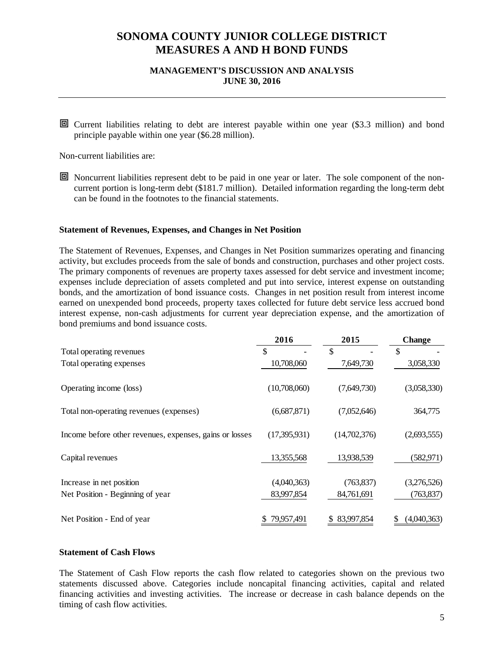# **MANAGEMENT'S DISCUSSION AND ANALYSIS JUNE 30, 2016**

 Current liabilities relating to debt are interest payable within one year (\$3.3 million) and bond principle payable within one year (\$6.28 million).

Non-current liabilities are:

 Noncurrent liabilities represent debt to be paid in one year or later. The sole component of the noncurrent portion is long-term debt (\$181.7 million). Detailed information regarding the long-term debt can be found in the footnotes to the financial statements.

#### **Statement of Revenues, Expenses, and Changes in Net Position**

The Statement of Revenues, Expenses, and Changes in Net Position summarizes operating and financing activity, but excludes proceeds from the sale of bonds and construction, purchases and other project costs. The primary components of revenues are property taxes assessed for debt service and investment income; expenses include depreciation of assets completed and put into service, interest expense on outstanding bonds, and the amortization of bond issuance costs. Changes in net position result from interest income earned on unexpended bond proceeds, property taxes collected for future debt service less accrued bond interest expense, non-cash adjustments for current year depreciation expense, and the amortization of bond premiums and bond issuance costs.

|                                                         | 2016         | 2015         | <b>Change</b> |
|---------------------------------------------------------|--------------|--------------|---------------|
| Total operating revenues                                | \$           | \$           | \$            |
| Total operating expenses                                | 10,708,060   | 7,649,730    | 3,058,330     |
| Operating income (loss)                                 | (10,708,060) | (7,649,730)  | (3,058,330)   |
| Total non-operating revenues (expenses)                 | (6,687,871)  | (7,052,646)  | 364,775       |
| Income before other revenues, expenses, gains or losses | (17,395,931) | (14,702,376) | (2,693,555)   |
| Capital revenues                                        | 13,355,568   | 13,938,539   | (582, 971)    |
| Increase in net position                                | (4,040,363)  | (763, 837)   | (3,276,526)   |
| Net Position - Beginning of year                        | 83,997,854   | 84,761,691   | (763, 837)    |
| Net Position - End of year                              | 79,957,491   | 83,997,854   | (4,040,363)   |

### **Statement of Cash Flows**

The Statement of Cash Flow reports the cash flow related to categories shown on the previous two statements discussed above. Categories include noncapital financing activities, capital and related financing activities and investing activities. The increase or decrease in cash balance depends on the timing of cash flow activities.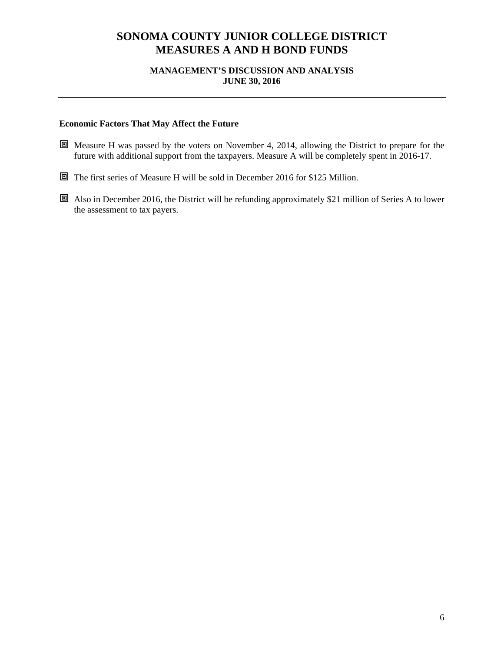# **MANAGEMENT'S DISCUSSION AND ANALYSIS JUNE 30, 2016**

# **Economic Factors That May Affect the Future**

- Measure H was passed by the voters on November 4, 2014, allowing the District to prepare for the future with additional support from the taxpayers. Measure A will be completely spent in 2016-17.
- The first series of Measure H will be sold in December 2016 for \$125 Million.
- Also in December 2016, the District will be refunding approximately \$21 million of Series A to lower the assessment to tax payers.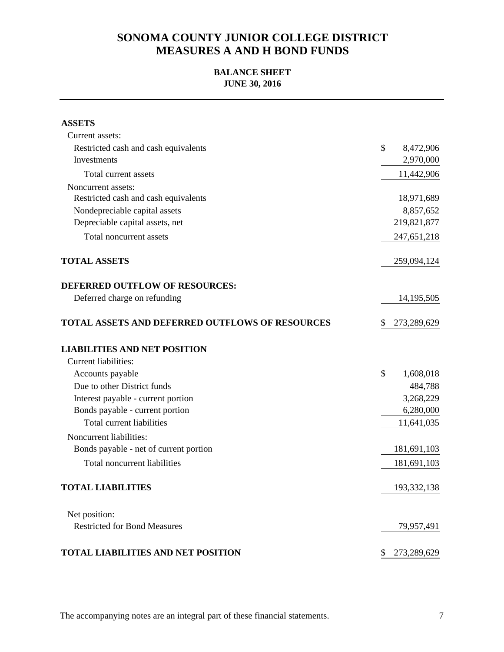# **BALANCE SHEET JUNE 30, 2016**

| <b>ASSETS</b>                                          |                   |
|--------------------------------------------------------|-------------------|
| Current assets:                                        |                   |
| Restricted cash and cash equivalents                   | \$<br>8,472,906   |
| Investments                                            | 2,970,000         |
| Total current assets                                   | 11,442,906        |
| Noncurrent assets:                                     |                   |
| Restricted cash and cash equivalents                   | 18,971,689        |
| Nondepreciable capital assets                          | 8,857,652         |
| Depreciable capital assets, net                        | 219,821,877       |
| Total noncurrent assets                                | 247,651,218       |
| <b>TOTAL ASSETS</b>                                    | 259,094,124       |
| <b>DEFERRED OUTFLOW OF RESOURCES:</b>                  |                   |
| Deferred charge on refunding                           | 14, 195, 505      |
| <b>TOTAL ASSETS AND DEFERRED OUTFLOWS OF RESOURCES</b> | 273,289,629       |
| <b>LIABILITIES AND NET POSITION</b>                    |                   |
| <b>Current liabilities:</b>                            |                   |
| Accounts payable                                       | \$<br>1,608,018   |
| Due to other District funds                            | 484,788           |
| Interest payable - current portion                     | 3,268,229         |
| Bonds payable - current portion                        | 6,280,000         |
| Total current liabilities                              | 11,641,035        |
| Noncurrent liabilities:                                |                   |
| Bonds payable - net of current portion                 | 181,691,103       |
| Total noncurrent liabilities                           | 181,691,103       |
| <b>TOTAL LIABILITIES</b>                               | 193,332,138       |
| Net position:                                          |                   |
| <b>Restricted for Bond Measures</b>                    | 79,957,491        |
| <b>TOTAL LIABILITIES AND NET POSITION</b>              | 273,289,629<br>\$ |

The accompanying notes are an integral part of these financial statements.  $\frac{7}{100}$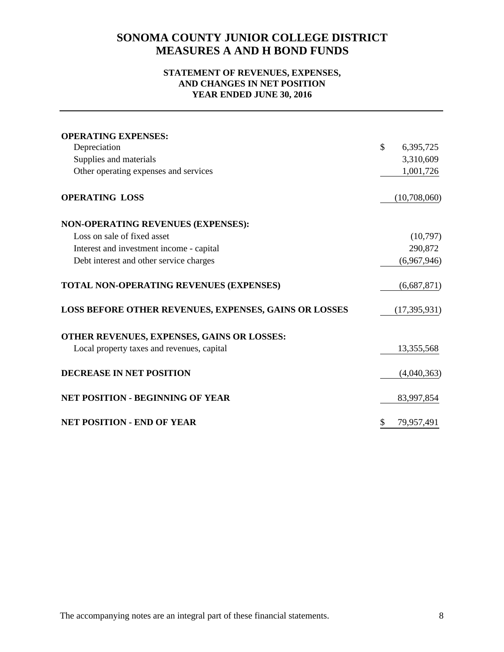# **STATEMENT OF REVENUES, EXPENSES, AND CHANGES IN NET POSITION YEAR ENDED JUNE 30, 2016**

| <b>OPERATING EXPENSES:</b>                            |                 |
|-------------------------------------------------------|-----------------|
| Depreciation                                          | \$<br>6,395,725 |
| Supplies and materials                                | 3,310,609       |
| Other operating expenses and services                 | 1,001,726       |
| <b>OPERATING LOSS</b>                                 | (10,708,060)    |
| <b>NON-OPERATING REVENUES (EXPENSES):</b>             |                 |
| Loss on sale of fixed asset                           | (10,797)        |
| Interest and investment income - capital              | 290,872         |
| Debt interest and other service charges               | (6,967,946)     |
| TOTAL NON-OPERATING REVENUES (EXPENSES)               | (6,687,871)     |
| LOSS BEFORE OTHER REVENUES, EXPENSES, GAINS OR LOSSES | (17, 395, 931)  |
| OTHER REVENUES, EXPENSES, GAINS OR LOSSES:            |                 |
| Local property taxes and revenues, capital            | 13,355,568      |
| <b>DECREASE IN NET POSITION</b>                       | (4,040,363)     |
| <b>NET POSITION - BEGINNING OF YEAR</b>               | 83,997,854      |
| <b>NET POSITION - END OF YEAR</b>                     | 79,957,491      |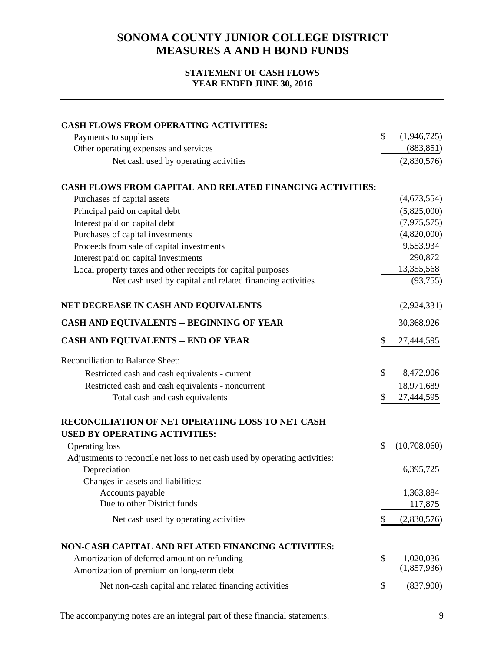# **STATEMENT OF CASH FLOWS YEAR ENDED JUNE 30, 2016**

| <b>CASH FLOWS FROM OPERATING ACTIVITIES:</b>                                                         |    |              |
|------------------------------------------------------------------------------------------------------|----|--------------|
| Payments to suppliers                                                                                | \$ | (1,946,725)  |
| Other operating expenses and services                                                                |    | (883, 851)   |
| Net cash used by operating activities                                                                |    | (2,830,576)  |
| <b>CASH FLOWS FROM CAPITAL AND RELATED FINANCING ACTIVITIES:</b>                                     |    |              |
| Purchases of capital assets                                                                          |    | (4,673,554)  |
| Principal paid on capital debt                                                                       |    | (5,825,000)  |
| Interest paid on capital debt                                                                        |    | (7,975,575)  |
| Purchases of capital investments                                                                     |    | (4,820,000)  |
| Proceeds from sale of capital investments                                                            |    | 9,553,934    |
| Interest paid on capital investments                                                                 |    | 290,872      |
| Local property taxes and other receipts for capital purposes                                         |    | 13,355,568   |
| Net cash used by capital and related financing activities                                            |    | (93, 755)    |
| NET DECREASE IN CASH AND EQUIVALENTS                                                                 |    | (2,924,331)  |
| CASH AND EQUIVALENTS -- BEGINNING OF YEAR                                                            |    | 30,368,926   |
| <b>CASH AND EQUIVALENTS -- END OF YEAR</b>                                                           | \$ | 27,444,595   |
| <b>Reconciliation to Balance Sheet:</b>                                                              |    |              |
| Restricted cash and cash equivalents - current                                                       | \$ | 8,472,906    |
| Restricted cash and cash equivalents - noncurrent                                                    |    | 18,971,689   |
| Total cash and cash equivalents                                                                      | \$ | 27,444,595   |
| RECONCILIATION OF NET OPERATING LOSS TO NET CASH<br><b>USED BY OPERATING ACTIVITIES:</b>             |    |              |
|                                                                                                      | \$ | (10,708,060) |
| <b>Operating loss</b><br>Adjustments to reconcile net loss to net cash used by operating activities: |    |              |
| Depreciation                                                                                         |    | 6,395,725    |
| Changes in assets and liabilities:                                                                   |    |              |
| Accounts payable                                                                                     |    | 1,363,884    |
| Due to other District funds                                                                          |    | 117,875      |
| Net cash used by operating activities                                                                | S  | (2,830,576)  |
|                                                                                                      |    |              |
| NON-CASH CAPITAL AND RELATED FINANCING ACTIVITIES:                                                   |    |              |
| Amortization of deferred amount on refunding                                                         | \$ | 1,020,036    |
| Amortization of premium on long-term debt                                                            |    | (1,857,936)  |
| Net non-cash capital and related financing activities                                                | \$ | (837,900)    |

The accompanying notes are an integral part of these financial statements. 9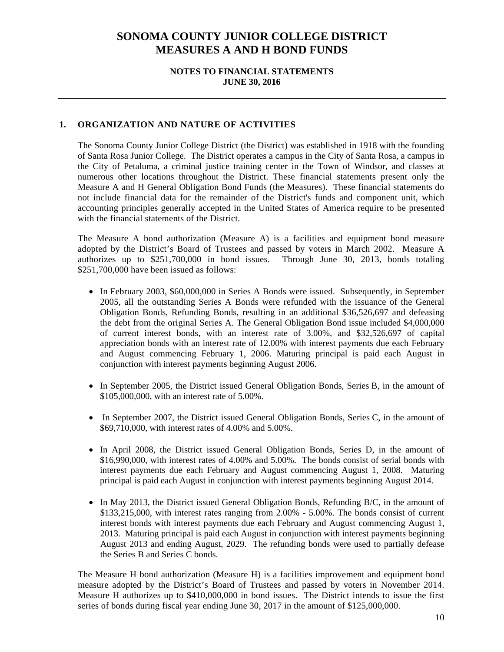## **NOTES TO FINANCIAL STATEMENTS JUNE 30, 2016**

# **1. ORGANIZATION AND NATURE OF ACTIVITIES**

The Sonoma County Junior College District (the District) was established in 1918 with the founding of Santa Rosa Junior College. The District operates a campus in the City of Santa Rosa, a campus in the City of Petaluma, a criminal justice training center in the Town of Windsor, and classes at numerous other locations throughout the District. These financial statements present only the Measure A and H General Obligation Bond Funds (the Measures). These financial statements do not include financial data for the remainder of the District's funds and component unit, which accounting principles generally accepted in the United States of America require to be presented with the financial statements of the District.

The Measure A bond authorization (Measure A) is a facilities and equipment bond measure adopted by the District's Board of Trustees and passed by voters in March 2002. Measure A authorizes up to \$251,700,000 in bond issues. Through June 30, 2013, bonds totaling \$251,700,000 have been issued as follows:

- In February 2003, \$60,000,000 in Series A Bonds were issued. Subsequently, in September 2005, all the outstanding Series A Bonds were refunded with the issuance of the General Obligation Bonds, Refunding Bonds, resulting in an additional \$36,526,697 and defeasing the debt from the original Series A. The General Obligation Bond issue included \$4,000,000 of current interest bonds, with an interest rate of 3.00%, and \$32,526,697 of capital appreciation bonds with an interest rate of 12.00% with interest payments due each February and August commencing February 1, 2006. Maturing principal is paid each August in conjunction with interest payments beginning August 2006.
- In September 2005, the District issued General Obligation Bonds, Series B, in the amount of \$105,000,000, with an interest rate of 5.00%.
- In September 2007, the District issued General Obligation Bonds, Series C, in the amount of \$69,710,000, with interest rates of 4.00% and 5.00%.
- In April 2008, the District issued General Obligation Bonds, Series D, in the amount of \$16,990,000, with interest rates of 4.00% and 5.00%. The bonds consist of serial bonds with interest payments due each February and August commencing August 1, 2008. Maturing principal is paid each August in conjunction with interest payments beginning August 2014.
- In May 2013, the District issued General Obligation Bonds, Refunding B/C, in the amount of \$133,215,000, with interest rates ranging from 2.00% - 5.00%. The bonds consist of current interest bonds with interest payments due each February and August commencing August 1, 2013. Maturing principal is paid each August in conjunction with interest payments beginning August 2013 and ending August, 2029. The refunding bonds were used to partially defease the Series B and Series C bonds.

The Measure H bond authorization (Measure H) is a facilities improvement and equipment bond measure adopted by the District's Board of Trustees and passed by voters in November 2014. Measure H authorizes up to \$410,000,000 in bond issues. The District intends to issue the first series of bonds during fiscal year ending June 30, 2017 in the amount of \$125,000,000.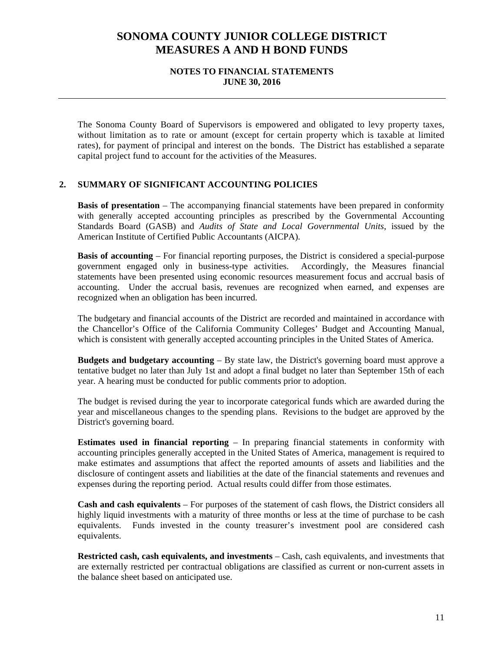### **NOTES TO FINANCIAL STATEMENTS JUNE 30, 2016**

The Sonoma County Board of Supervisors is empowered and obligated to levy property taxes, without limitation as to rate or amount (except for certain property which is taxable at limited rates), for payment of principal and interest on the bonds. The District has established a separate capital project fund to account for the activities of the Measures.

### **2. SUMMARY OF SIGNIFICANT ACCOUNTING POLICIES**

**Basis of presentation** – The accompanying financial statements have been prepared in conformity with generally accepted accounting principles as prescribed by the Governmental Accounting Standards Board (GASB) and *Audits of State and Local Governmental Units*, issued by the American Institute of Certified Public Accountants (AICPA).

**Basis of accounting** – For financial reporting purposes, the District is considered a special-purpose government engaged only in business-type activities. Accordingly, the Measures financial statements have been presented using economic resources measurement focus and accrual basis of accounting. Under the accrual basis, revenues are recognized when earned, and expenses are recognized when an obligation has been incurred.

The budgetary and financial accounts of the District are recorded and maintained in accordance with the Chancellor's Office of the California Community Colleges' Budget and Accounting Manual, which is consistent with generally accepted accounting principles in the United States of America.

**Budgets and budgetary accounting** – By state law, the District's governing board must approve a tentative budget no later than July 1st and adopt a final budget no later than September 15th of each year. A hearing must be conducted for public comments prior to adoption.

The budget is revised during the year to incorporate categorical funds which are awarded during the year and miscellaneous changes to the spending plans. Revisions to the budget are approved by the District's governing board.

**Estimates used in financial reporting** – In preparing financial statements in conformity with accounting principles generally accepted in the United States of America, management is required to make estimates and assumptions that affect the reported amounts of assets and liabilities and the disclosure of contingent assets and liabilities at the date of the financial statements and revenues and expenses during the reporting period. Actual results could differ from those estimates.

**Cash and cash equivalents** – For purposes of the statement of cash flows, the District considers all highly liquid investments with a maturity of three months or less at the time of purchase to be cash equivalents. Funds invested in the county treasurer's investment pool are considered cash equivalents.

**Restricted cash, cash equivalents, and investments** – Cash, cash equivalents, and investments that are externally restricted per contractual obligations are classified as current or non-current assets in the balance sheet based on anticipated use.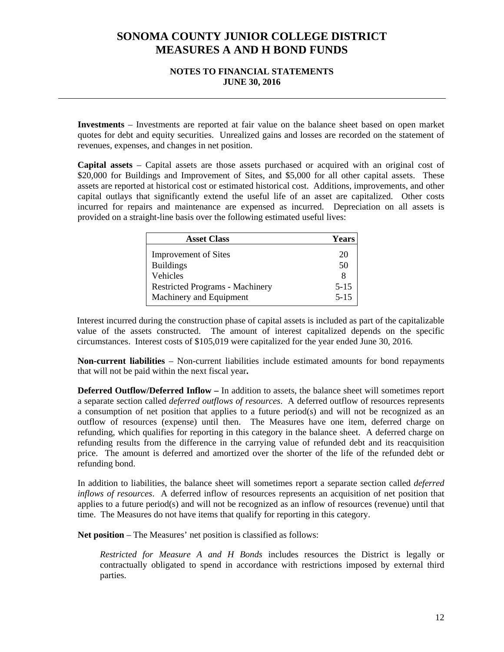### **NOTES TO FINANCIAL STATEMENTS JUNE 30, 2016**

**Investments** – Investments are reported at fair value on the balance sheet based on open market quotes for debt and equity securities. Unrealized gains and losses are recorded on the statement of revenues, expenses, and changes in net position.

**Capital assets** – Capital assets are those assets purchased or acquired with an original cost of \$20,000 for Buildings and Improvement of Sites, and \$5,000 for all other capital assets. These assets are reported at historical cost or estimated historical cost. Additions, improvements, and other capital outlays that significantly extend the useful life of an asset are capitalized. Other costs incurred for repairs and maintenance are expensed as incurred. Depreciation on all assets is provided on a straight-line basis over the following estimated useful lives:

| <b>Asset Class</b>                     | <b>Years</b> |
|----------------------------------------|--------------|
| <b>Improvement of Sites</b>            | 20           |
| <b>Buildings</b>                       | 50           |
| <b>Vehicles</b>                        | 8            |
| <b>Restricted Programs - Machinery</b> | $5 - 15$     |
| Machinery and Equipment                | $5 - 15$     |

Interest incurred during the construction phase of capital assets is included as part of the capitalizable value of the assets constructed. The amount of interest capitalized depends on the specific circumstances. Interest costs of \$105,019 were capitalized for the year ended June 30, 2016.

**Non-current liabilities** – Non-current liabilities include estimated amounts for bond repayments that will not be paid within the next fiscal year**.** 

**Deferred Outflow/Deferred Inflow –** In addition to assets, the balance sheet will sometimes report a separate section called *deferred outflows of resources*. A deferred outflow of resources represents a consumption of net position that applies to a future period(s) and will not be recognized as an outflow of resources (expense) until then. The Measures have one item, deferred charge on refunding, which qualifies for reporting in this category in the balance sheet. A deferred charge on refunding results from the difference in the carrying value of refunded debt and its reacquisition price. The amount is deferred and amortized over the shorter of the life of the refunded debt or refunding bond.

In addition to liabilities, the balance sheet will sometimes report a separate section called *deferred inflows of resources*. A deferred inflow of resources represents an acquisition of net position that applies to a future period(s) and will not be recognized as an inflow of resources (revenue) until that time. The Measures do not have items that qualify for reporting in this category.

**Net position** – The Measures' net position is classified as follows:

*Restricted for Measure A and H Bonds* includes resources the District is legally or contractually obligated to spend in accordance with restrictions imposed by external third parties.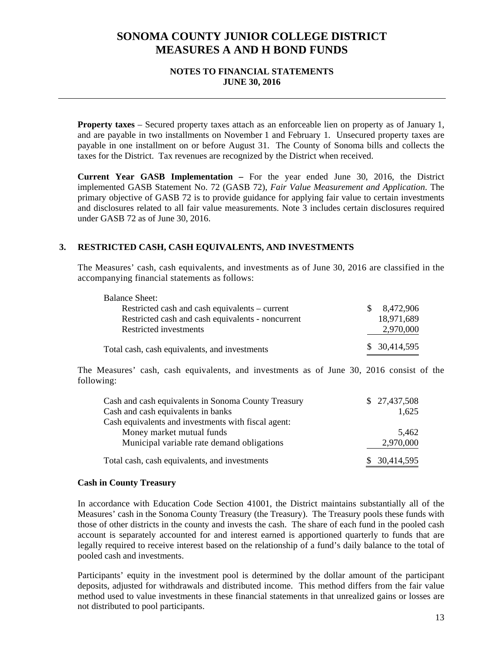### **NOTES TO FINANCIAL STATEMENTS JUNE 30, 2016**

**Property taxes** – Secured property taxes attach as an enforceable lien on property as of January 1, and are payable in two installments on November 1 and February 1. Unsecured property taxes are payable in one installment on or before August 31. The County of Sonoma bills and collects the taxes for the District. Tax revenues are recognized by the District when received.

**Current Year GASB Implementation –** For the year ended June 30, 2016, the District implemented GASB Statement No. 72 (GASB 72), *Fair Value Measurement and Application*. The primary objective of GASB 72 is to provide guidance for applying fair value to certain investments and disclosures related to all fair value measurements. Note 3 includes certain disclosures required under GASB 72 as of June 30, 2016.

# **3. RESTRICTED CASH, CASH EQUIVALENTS, AND INVESTMENTS**

The Measures' cash, cash equivalents, and investments as of June 30, 2016 are classified in the accompanying financial statements as follows:

| <b>Balance Sheet:</b>                             |              |               |
|---------------------------------------------------|--------------|---------------|
| Restricted cash and cash equivalents – current    | <sup>S</sup> | 8,472,906     |
| Restricted cash and cash equivalents - noncurrent |              | 18,971,689    |
| Restricted investments                            |              | 2,970,000     |
| Total cash, cash equivalents, and investments     |              | \$ 30,414,595 |

The Measures' cash, cash equivalents, and investments as of June 30, 2016 consist of the following:

| Cash and cash equivalents in Sonoma County Treasury | \$27,437,508  |
|-----------------------------------------------------|---------------|
| Cash and cash equivalents in banks                  | 1,625         |
| Cash equivalents and investments with fiscal agent: |               |
| Money market mutual funds                           | 5.462         |
| Municipal variable rate demand obligations          | 2,970,000     |
| Total cash, cash equivalents, and investments       | \$ 30,414,595 |

#### **Cash in County Treasury**

In accordance with Education Code Section 41001, the District maintains substantially all of the Measures' cash in the Sonoma County Treasury (the Treasury). The Treasury pools these funds with those of other districts in the county and invests the cash. The share of each fund in the pooled cash account is separately accounted for and interest earned is apportioned quarterly to funds that are legally required to receive interest based on the relationship of a fund's daily balance to the total of pooled cash and investments.

Participants' equity in the investment pool is determined by the dollar amount of the participant deposits, adjusted for withdrawals and distributed income. This method differs from the fair value method used to value investments in these financial statements in that unrealized gains or losses are not distributed to pool participants.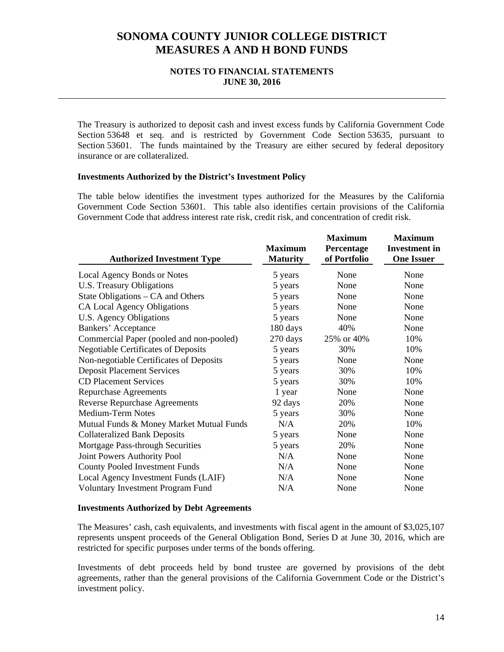### **NOTES TO FINANCIAL STATEMENTS JUNE 30, 2016**

The Treasury is authorized to deposit cash and invest excess funds by California Government Code Section 53648 et seq. and is restricted by Government Code Section 53635, pursuant to Section 53601. The funds maintained by the Treasury are either secured by federal depository insurance or are collateralized.

### **Investments Authorized by the District's Investment Policy**

The table below identifies the investment types authorized for the Measures by the California Government Code Section 53601. This table also identifies certain provisions of the California Government Code that address interest rate risk, credit risk, and concentration of credit risk.

| <b>Authorized Investment Type</b>          | <b>Maximum</b><br><b>Maturity</b> | <b>Maximum</b><br>Percentage<br>of Portfolio | <b>Maximum</b><br><b>Investment</b> in<br><b>One Issuer</b> |
|--------------------------------------------|-----------------------------------|----------------------------------------------|-------------------------------------------------------------|
| Local Agency Bonds or Notes                | 5 years                           | None                                         | None                                                        |
| U.S. Treasury Obligations                  | 5 years                           | None                                         | None                                                        |
| State Obligations – CA and Others          | 5 years                           | None                                         | None                                                        |
| CA Local Agency Obligations                | 5 years                           | None                                         | None                                                        |
| U.S. Agency Obligations                    | 5 years                           | None                                         | None                                                        |
| Bankers' Acceptance                        | 180 days                          | 40%                                          | None                                                        |
| Commercial Paper (pooled and non-pooled)   | 270 days                          | 25% or 40%                                   | 10%                                                         |
| <b>Negotiable Certificates of Deposits</b> | 5 years                           | 30%                                          | 10%                                                         |
| Non-negotiable Certificates of Deposits    | 5 years                           | None                                         | None                                                        |
| <b>Deposit Placement Services</b>          | 5 years                           | 30%                                          | 10%                                                         |
| <b>CD Placement Services</b>               | 5 years                           | 30%                                          | 10%                                                         |
| <b>Repurchase Agreements</b>               | 1 year                            | None                                         | None                                                        |
| <b>Reverse Repurchase Agreements</b>       | 92 days                           | 20%                                          | None                                                        |
| <b>Medium-Term Notes</b>                   | 5 years                           | 30%                                          | None                                                        |
| Mutual Funds & Money Market Mutual Funds   | N/A                               | 20%                                          | 10%                                                         |
| <b>Collateralized Bank Deposits</b>        | 5 years                           | None                                         | None                                                        |
| Mortgage Pass-through Securities           | 5 years                           | 20%                                          | None                                                        |
| Joint Powers Authority Pool                | N/A                               | None                                         | None                                                        |
| <b>County Pooled Investment Funds</b>      | N/A                               | None                                         | None                                                        |
| Local Agency Investment Funds (LAIF)       | N/A                               | None                                         | None                                                        |
| <b>Voluntary Investment Program Fund</b>   | N/A                               | None                                         | None                                                        |

#### **Investments Authorized by Debt Agreements**

The Measures' cash, cash equivalents, and investments with fiscal agent in the amount of \$3,025,107 represents unspent proceeds of the General Obligation Bond, Series D at June 30, 2016, which are restricted for specific purposes under terms of the bonds offering.

Investments of debt proceeds held by bond trustee are governed by provisions of the debt agreements, rather than the general provisions of the California Government Code or the District's investment policy.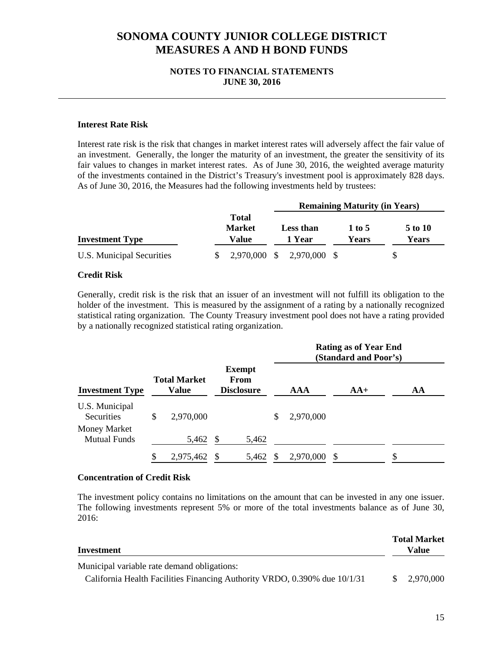### **NOTES TO FINANCIAL STATEMENTS JUNE 30, 2016**

### **Interest Rate Risk**

Interest rate risk is the risk that changes in market interest rates will adversely affect the fair value of an investment. Generally, the longer the maturity of an investment, the greater the sensitivity of its fair values to changes in market interest rates. As of June 30, 2016, the weighted average maturity of the investments contained in the District's Treasury's investment pool is approximately 828 days. As of June 30, 2016, the Measures had the following investments held by trustees:

|                           |  | <b>Remaining Maturity (in Years)</b>   |                                                                   |                           |  |  |  |
|---------------------------|--|----------------------------------------|-------------------------------------------------------------------|---------------------------|--|--|--|
| <b>Investment Type</b>    |  | <b>Total</b><br><b>Market</b><br>Value | 5 to 10<br><b>Less than</b><br>1 to 5<br>Years<br>1 Year<br>Years |                           |  |  |  |
| U.S. Municipal Securities |  |                                        |                                                                   | 2,970,000 \$ 2,970,000 \$ |  |  |  |

#### **Credit Risk**

Generally, credit risk is the risk that an issuer of an investment will not fulfill its obligation to the holder of the investment. This is measured by the assignment of a rating by a nationally recognized statistical rating organization. The County Treasury investment pool does not have a rating provided by a nationally recognized statistical rating organization.

|                                     |                              |                                            |                 | <b>Rating as of Year End</b><br>(Standard and Poor's) |    |  |
|-------------------------------------|------------------------------|--------------------------------------------|-----------------|-------------------------------------------------------|----|--|
| <b>Investment Type</b>              | <b>Total Market</b><br>Value | <b>Exempt</b><br>From<br><b>Disclosure</b> | AAA             | $AA+$                                                 | AA |  |
| U.S. Municipal<br><b>Securities</b> | \$<br>2,970,000              |                                            | \$<br>2,970,000 |                                                       |    |  |
| Money Market<br><b>Mutual Funds</b> | 5,462                        | \$<br>5,462                                |                 |                                                       |    |  |
|                                     | 2,975,462                    | 5,462                                      | 2,970,000       |                                                       | \$ |  |

#### **Concentration of Credit Risk**

The investment policy contains no limitations on the amount that can be invested in any one issuer. The following investments represent 5% or more of the total investments balance as of June 30, 2016:

| Investment                                                                |              | <b>Total Market</b><br>Value |
|---------------------------------------------------------------------------|--------------|------------------------------|
| Municipal variable rate demand obligations:                               |              |                              |
| California Health Facilities Financing Authority VRDO, 0.390% due 10/1/31 | <sup>S</sup> | 2.970.000                    |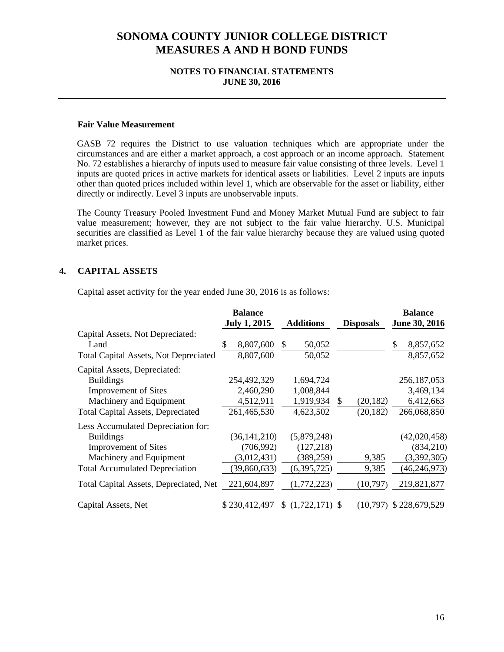### **NOTES TO FINANCIAL STATEMENTS JUNE 30, 2016**

#### **Fair Value Measurement**

GASB 72 requires the District to use valuation techniques which are appropriate under the circumstances and are either a market approach, a cost approach or an income approach. Statement No. 72 establishes a hierarchy of inputs used to measure fair value consisting of three levels. Level 1 inputs are quoted prices in active markets for identical assets or liabilities. Level 2 inputs are inputs other than quoted prices included within level 1, which are observable for the asset or liability, either directly or indirectly. Level 3 inputs are unobservable inputs.

The County Treasury Pooled Investment Fund and Money Market Mutual Fund are subject to fair value measurement; however, they are not subject to the fair value hierarchy. U.S. Municipal securities are classified as Level 1 of the fair value hierarchy because they are valued using quoted market prices.

# **4. CAPITAL ASSETS**

Capital asset activity for the year ended June 30, 2016 is as follows:

|                                              | <b>Balance</b>      |                   |                      | <b>Balance</b>  |
|----------------------------------------------|---------------------|-------------------|----------------------|-----------------|
|                                              | <b>July 1, 2015</b> | <b>Additions</b>  | <b>Disposals</b>     | June 30, 2016   |
| Capital Assets, Not Depreciated:             |                     |                   |                      |                 |
| Land                                         | 8,807,600<br>S      | 50,052<br>S       |                      | \$<br>8,857,652 |
| <b>Total Capital Assets, Not Depreciated</b> | 8,807,600           | 50,052            |                      | 8,857,652       |
| Capital Assets, Depreciated:                 |                     |                   |                      |                 |
| <b>Buildings</b>                             | 254,492,329         | 1,694,724         |                      | 256,187,053     |
| <b>Improvement of Sites</b>                  | 2,460,290           | 1,008,844         |                      | 3,469,134       |
| Machinery and Equipment                      | 4,512,911           | 1,919,934         | (20, 182)<br>\$.     | 6,412,663       |
| <b>Total Capital Assets, Depreciated</b>     | 261,465,530         | 4,623,502         | (20, 182)            | 266,068,850     |
| Less Accumulated Depreciation for:           |                     |                   |                      |                 |
| <b>Buildings</b>                             | (36, 141, 210)      | (5,879,248)       |                      | (42,020,458)    |
| <b>Improvement of Sites</b>                  | (706, 992)          | (127, 218)        |                      | (834,210)       |
| Machinery and Equipment                      | (3,012,431)         | (389, 259)        | 9,385                | (3,392,305)     |
| <b>Total Accumulated Depreciation</b>        | (39, 860, 633)      | (6,395,725)       | 9,385                | (46, 246, 973)  |
| Total Capital Assets, Depreciated, Net       | 221,604,897         | (1,772,223)       | (10,797)             | 219,821,877     |
| Capital Assets, Net                          | \$230,412,497       | (1,722,171)<br>S. | (10.797)<br><b>S</b> | \$228,679,529   |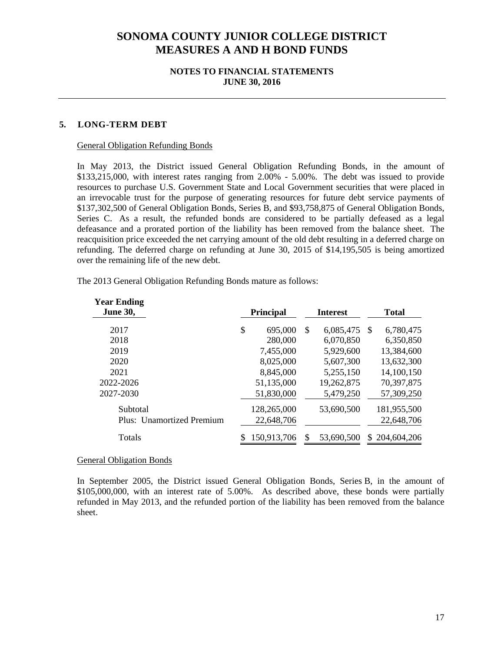### **NOTES TO FINANCIAL STATEMENTS JUNE 30, 2016**

### **5. LONG-TERM DEBT**

#### General Obligation Refunding Bonds

In May 2013, the District issued General Obligation Refunding Bonds, in the amount of \$133,215,000, with interest rates ranging from 2.00% - 5.00%. The debt was issued to provide resources to purchase U.S. Government State and Local Government securities that were placed in an irrevocable trust for the purpose of generating resources for future debt service payments of \$137,302,500 of General Obligation Bonds, Series B, and \$93,758,875 of General Obligation Bonds, Series C. As a result, the refunded bonds are considered to be partially defeased as a legal defeasance and a prorated portion of the liability has been removed from the balance sheet. The reacquisition price exceeded the net carrying amount of the old debt resulting in a deferred charge on refunding. The deferred charge on refunding at June 30, 2015 of \$14,195,505 is being amortized over the remaining life of the new debt.

| <b>Year Ending</b><br><b>June 30,</b> | <b>Principal</b> | <b>Interest</b> |    | <b>Total</b> |
|---------------------------------------|------------------|-----------------|----|--------------|
| 2017                                  | \$<br>695,000    | \$<br>6,085,475 | -S | 6,780,475    |
| 2018                                  | 280,000          | 6,070,850       |    | 6,350,850    |
| 2019                                  | 7,455,000        | 5,929,600       |    | 13,384,600   |
| 2020                                  | 8,025,000        | 5,607,300       |    | 13,632,300   |
| 2021                                  | 8,845,000        | 5,255,150       |    | 14,100,150   |
| 2022-2026                             | 51,135,000       | 19,262,875      |    | 70,397,875   |
| 2027-2030                             | 51,830,000       | 5,479,250       |    | 57,309,250   |
| Subtotal                              | 128,265,000      | 53,690,500      |    | 181,955,500  |
| Plus: Unamortized Premium             | 22,648,706       |                 |    | 22,648,706   |
| Totals                                | 150,913,706      | 53,690,500      | S. | 204,604,206  |

The 2013 General Obligation Refunding Bonds mature as follows:

#### General Obligation Bonds

In September 2005, the District issued General Obligation Bonds, Series B, in the amount of \$105,000,000, with an interest rate of 5.00%. As described above, these bonds were partially refunded in May 2013, and the refunded portion of the liability has been removed from the balance sheet.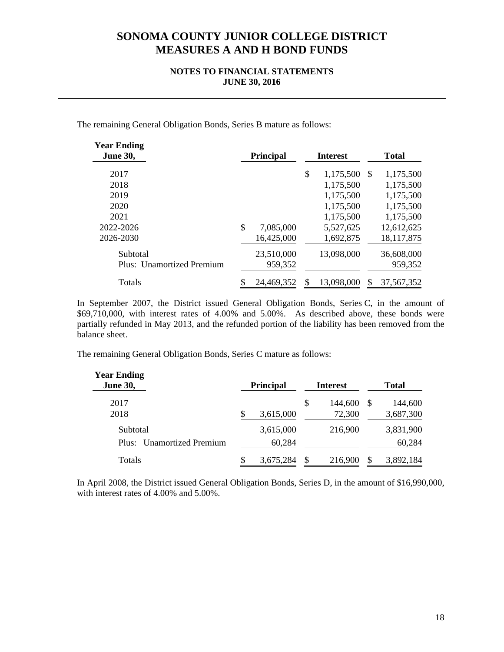### **NOTES TO FINANCIAL STATEMENTS JUNE 30, 2016**

The remaining General Obligation Bonds, Series B mature as follows:

| <b>Year Ending</b><br><b>June 30,</b> |    | <b>Principal</b> |    | <b>Interest</b> | <b>Total</b> |            |  |
|---------------------------------------|----|------------------|----|-----------------|--------------|------------|--|
| 2017                                  |    |                  | \$ | 1,175,500       | -S           | 1,175,500  |  |
| 2018                                  |    |                  |    | 1,175,500       |              | 1,175,500  |  |
| 2019                                  |    |                  |    | 1,175,500       |              | 1,175,500  |  |
| 2020                                  |    |                  |    | 1,175,500       |              | 1,175,500  |  |
| 2021                                  |    |                  |    | 1,175,500       |              | 1,175,500  |  |
| 2022-2026                             | \$ | 7,085,000        |    | 5,527,625       |              | 12,612,625 |  |
| 2026-2030                             |    | 16,425,000       |    | 1,692,875       |              | 18,117,875 |  |
| Subtotal                              |    | 23,510,000       |    | 13,098,000      |              | 36,608,000 |  |
| Plus: Unamortized Premium             |    | 959,352          |    |                 |              | 959,352    |  |
| Totals                                |    | 24,469,352       |    | 13,098,000      |              | 37,567,352 |  |

In September 2007, the District issued General Obligation Bonds, Series C, in the amount of \$69,710,000, with interest rates of 4.00% and 5.00%. As described above, these bonds were partially refunded in May 2013, and the refunded portion of the liability has been removed from the balance sheet.

The remaining General Obligation Bonds, Series C mature as follows:

| <b>Year Ending</b><br><b>June 30,</b>           |    | <b>Principal</b>    | <b>Interest</b>         | <b>Total</b>  |                      |  |
|-------------------------------------------------|----|---------------------|-------------------------|---------------|----------------------|--|
| 2017<br>2018                                    |    | 3,615,000           | \$<br>144,600<br>72,300 | -S            | 144,600<br>3,687,300 |  |
| Subtotal<br><b>Unamortized Premium</b><br>Plus: |    | 3,615,000<br>60,284 | 216,900                 |               | 3,831,900<br>60,284  |  |
| Totals                                          | S. | 3,675,284           | \$<br>216,900           | <sup>\$</sup> | 3,892,184            |  |

In April 2008, the District issued General Obligation Bonds, Series D, in the amount of \$16,990,000, with interest rates of 4.00% and 5.00%.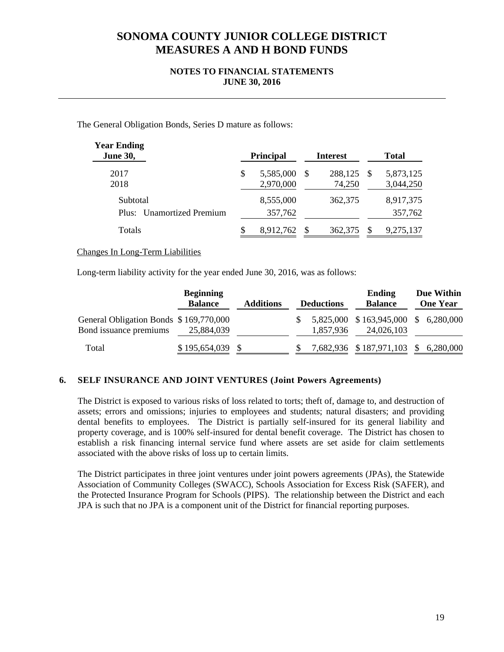## **NOTES TO FINANCIAL STATEMENTS JUNE 30, 2016**

The General Obligation Bonds, Series D mature as follows:

| <b>Year Ending</b><br><b>June 30,</b> |   | <b>Principal</b>       |          | <b>Interest</b>   | <b>Total</b>           |
|---------------------------------------|---|------------------------|----------|-------------------|------------------------|
| 2017<br>2018                          | S | 5,585,000<br>2,970,000 | <b>S</b> | 288,125<br>74,250 | 5,873,125<br>3,044,250 |
| Subtotal<br>Plus: Unamortized Premium |   | 8,555,000<br>357,762   |          | 362,375           | 8,917,375<br>357,762   |
| <b>Totals</b>                         |   | 8,912,762              |          | 362,375           | 9,275,137              |

Changes In Long-Term Liabilities

Long-term liability activity for the year ended June 30, 2016, was as follows:

|                                                                  | <b>Beginning</b><br><b>Balance</b> | <b>Additions</b> | <b>Deductions</b> | Ending<br><b>Balance</b>                          | Due Within<br><b>One Year</b> |
|------------------------------------------------------------------|------------------------------------|------------------|-------------------|---------------------------------------------------|-------------------------------|
| General Obligation Bonds \$169,770,000<br>Bond issuance premiums | 25,884,039                         |                  | 1,857,936         | 5,825,000 \$163,945,000 \$6,280,000<br>24,026,103 |                               |
| Total                                                            | \$195,654,039                      |                  |                   | 7,682,936 \$187,971,103 \$6,280,000               |                               |

# **6. SELF INSURANCE AND JOINT VENTURES (Joint Powers Agreements)**

The District is exposed to various risks of loss related to torts; theft of, damage to, and destruction of assets; errors and omissions; injuries to employees and students; natural disasters; and providing dental benefits to employees. The District is partially self-insured for its general liability and property coverage, and is 100% self-insured for dental benefit coverage. The District has chosen to establish a risk financing internal service fund where assets are set aside for claim settlements associated with the above risks of loss up to certain limits.

The District participates in three joint ventures under joint powers agreements (JPAs), the Statewide Association of Community Colleges (SWACC), Schools Association for Excess Risk (SAFER), and the Protected Insurance Program for Schools (PIPS). The relationship between the District and each JPA is such that no JPA is a component unit of the District for financial reporting purposes.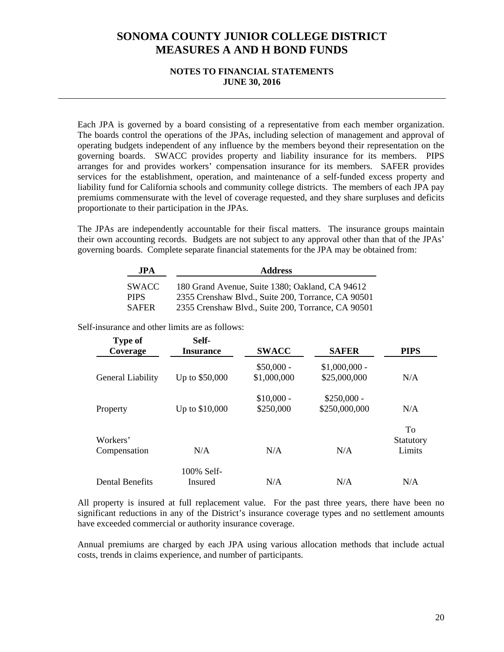### **NOTES TO FINANCIAL STATEMENTS JUNE 30, 2016**

Each JPA is governed by a board consisting of a representative from each member organization. The boards control the operations of the JPAs, including selection of management and approval of operating budgets independent of any influence by the members beyond their representation on the governing boards. SWACC provides property and liability insurance for its members. PIPS arranges for and provides workers' compensation insurance for its members. SAFER provides services for the establishment, operation, and maintenance of a self-funded excess property and liability fund for California schools and community college districts. The members of each JPA pay premiums commensurate with the level of coverage requested, and they share surpluses and deficits proportionate to their participation in the JPAs.

The JPAs are independently accountable for their fiscal matters. The insurance groups maintain their own accounting records. Budgets are not subject to any approval other than that of the JPAs' governing boards. Complete separate financial statements for the JPA may be obtained from:

| <b>JPA</b>   | <b>Address</b>                                     |
|--------------|----------------------------------------------------|
| <b>SWACC</b> | 180 Grand Avenue, Suite 1380; Oakland, CA 94612    |
| <b>PIPS</b>  | 2355 Crenshaw Blvd., Suite 200, Torrance, CA 90501 |
| <b>SAFER</b> | 2355 Crenshaw Blvd., Suite 200, Torrance, CA 90501 |

Self-insurance and other limits are as follows:

| <b>Type of</b><br>Coverage | Self-<br><b>Insurance</b> | <b>SWACC</b>               | <b>SAFER</b>                   | <b>PIPS</b>               |  |
|----------------------------|---------------------------|----------------------------|--------------------------------|---------------------------|--|
| General Liability          | Up to \$50,000            | $$50,000 -$<br>\$1,000,000 | $$1,000,000$ -<br>\$25,000,000 | N/A                       |  |
| Property                   | Up to \$10,000            | $$10,000 -$<br>\$250,000   | $$250,000 -$<br>\$250,000,000  | N/A                       |  |
| Workers'<br>Compensation   | N/A                       | N/A                        | N/A                            | To<br>Statutory<br>Limits |  |
| <b>Dental Benefits</b>     | 100% Self-<br>Insured     | N/A                        | N/A                            | N/A                       |  |

All property is insured at full replacement value. For the past three years, there have been no significant reductions in any of the District's insurance coverage types and no settlement amounts have exceeded commercial or authority insurance coverage.

Annual premiums are charged by each JPA using various allocation methods that include actual costs, trends in claims experience, and number of participants.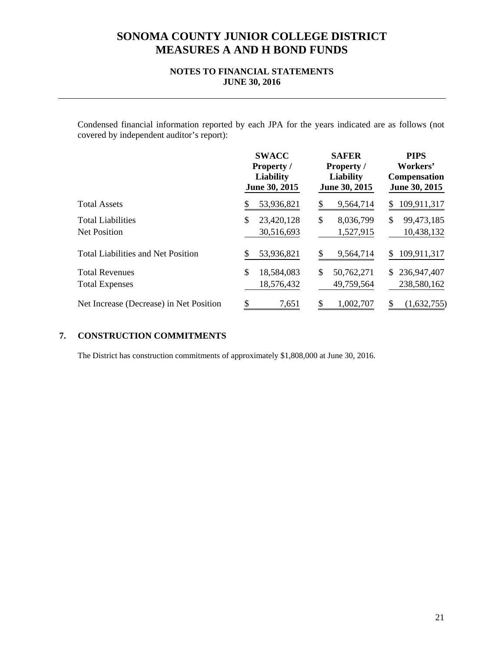## **NOTES TO FINANCIAL STATEMENTS JUNE 30, 2016**

Condensed financial information reported by each JPA for the years indicated are as follows (not covered by independent auditor's report):

|                                                 | <b>SWACC</b><br><b>Property</b> /<br><b>Liability</b><br>June 30, 2015 | <b>SAFER</b><br><b>Property</b> /<br><b>Liability</b><br>June 30, 2015 | <b>PIPS</b><br>Workers'<br><b>Compensation</b><br>June 30, 2015 |  |  |
|-------------------------------------------------|------------------------------------------------------------------------|------------------------------------------------------------------------|-----------------------------------------------------------------|--|--|
| <b>Total Assets</b>                             | 53,936,821                                                             | 9,564,714                                                              | 109,911,317<br>S.                                               |  |  |
| <b>Total Liabilities</b><br><b>Net Position</b> | 23,420,128<br>\$<br>30,516,693                                         | \$<br>8,036,799<br>1,527,915                                           | 99,473,185<br>\$<br>10,438,132                                  |  |  |
| <b>Total Liabilities and Net Position</b>       | 53,936,821                                                             | 9,564,714                                                              | 109,911,317                                                     |  |  |
| <b>Total Revenues</b><br><b>Total Expenses</b>  | \$<br>18,584,083<br>18,576,432                                         | \$<br>50,762,271<br>49,759,564                                         | 236,947,407<br>\$<br>238,580,162                                |  |  |
| Net Increase (Decrease) in Net Position         | \$<br>7,651                                                            | 1,002,707<br>S                                                         | (1,632,755)                                                     |  |  |

#### **CONSTRUCTION COMMITMENTS 7.**

The District has construction commitments of approximately \$1,808,000 at June 30, 2016.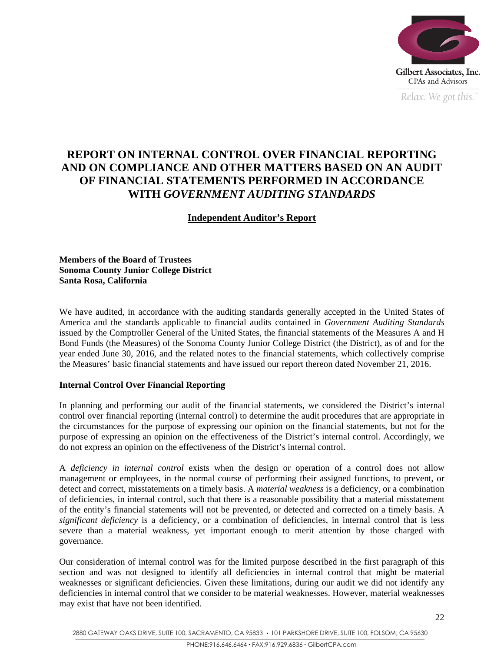

*Relax. We got this.*  $\degree$ 

# **REPORT ON INTERNAL CONTROL OVER FINANCIAL REPORTING AND ON COMPLIANCE AND OTHER MATTERS BASED ON AN AUDIT OF FINANCIAL STATEMENTS PERFORMED IN ACCORDANCE WITH** *GOVERNMENT AUDITING STANDARDS*

# **Independent Auditor's Report**

**Members of the Board of Trustees Sonoma County Junior College District Santa Rosa, California** 

We have audited, in accordance with the auditing standards generally accepted in the United States of America and the standards applicable to financial audits contained in *Government Auditing Standards* issued by the Comptroller General of the United States, the financial statements of the Measures A and H Bond Funds (the Measures) of the Sonoma County Junior College District (the District), as of and for the year ended June 30, 2016, and the related notes to the financial statements, which collectively comprise the Measures' basic financial statements and have issued our report thereon dated November 21, 2016.

# **Internal Control Over Financial Reporting**

In planning and performing our audit of the financial statements, we considered the District's internal control over financial reporting (internal control) to determine the audit procedures that are appropriate in the circumstances for the purpose of expressing our opinion on the financial statements, but not for the purpose of expressing an opinion on the effectiveness of the District's internal control. Accordingly, we do not express an opinion on the effectiveness of the District's internal control.

A *deficiency in internal control* exists when the design or operation of a control does not allow management or employees, in the normal course of performing their assigned functions, to prevent, or detect and correct, misstatements on a timely basis. A *material weakness* is a deficiency, or a combination of deficiencies, in internal control, such that there is a reasonable possibility that a material misstatement of the entity's financial statements will not be prevented, or detected and corrected on a timely basis. A *significant deficiency* is a deficiency, or a combination of deficiencies, in internal control that is less severe than a material weakness, yet important enough to merit attention by those charged with governance.

Our consideration of internal control was for the limited purpose described in the first paragraph of this section and was not designed to identify all deficiencies in internal control that might be material weaknesses or significant deficiencies. Given these limitations, during our audit we did not identify any deficiencies in internal control that we consider to be material weaknesses. However, material weaknesses may exist that have not been identified.